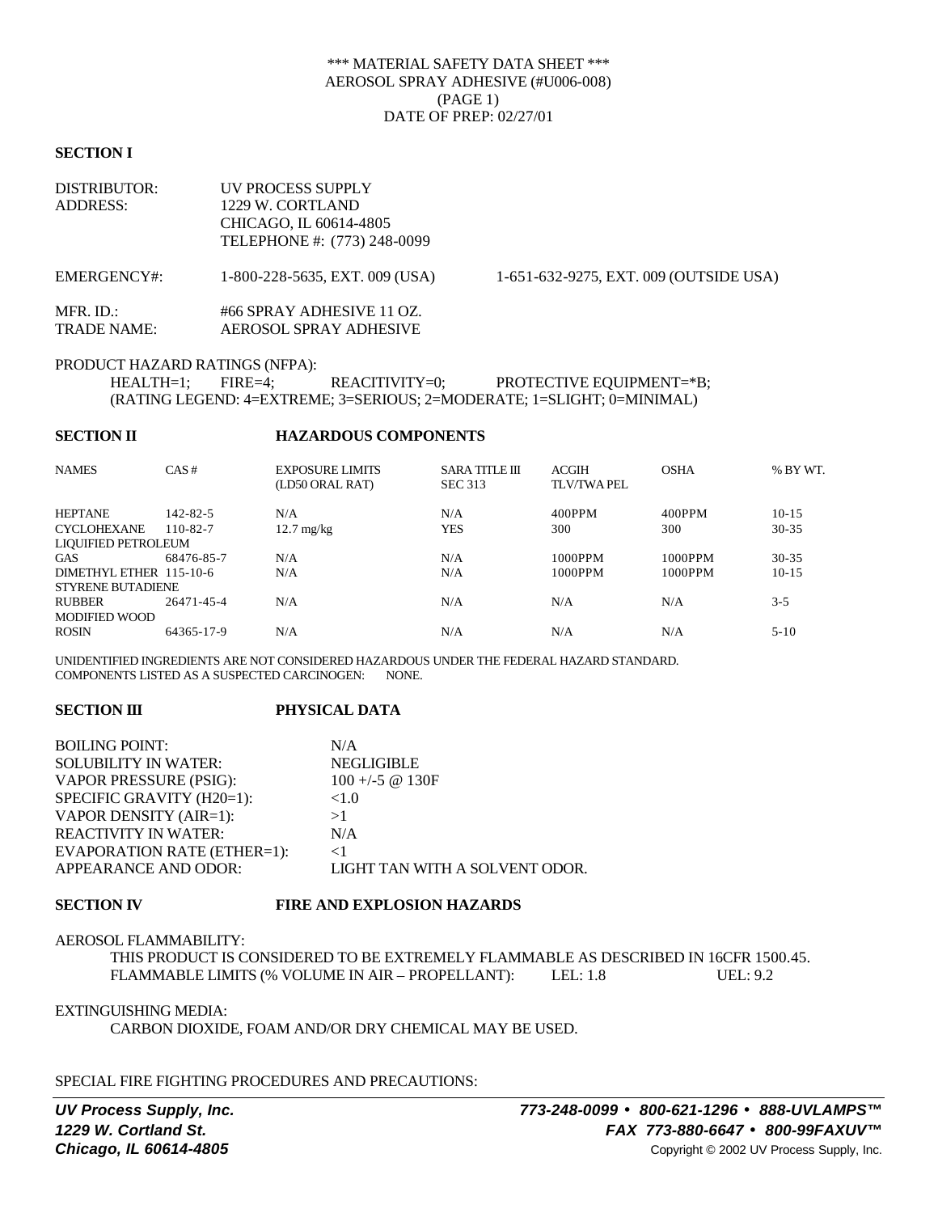# \*\*\* MATERIAL SAFETY DATA SHEET \*\*\* AEROSOL SPRAY ADHESIVE (#U006-008) (PAGE 1) DATE OF PREP: 02/27/01

#### **SECTION I**

| <b>DISTRIBUTOR:</b><br><b>ADDRESS:</b> | <b>UV PROCESS SUPPLY</b><br>1229 W. CORTLAND<br>CHICAGO, IL 60614-4805<br>TELEPHONE #: (773) 248-0099 |                                        |
|----------------------------------------|-------------------------------------------------------------------------------------------------------|----------------------------------------|
| EMERGENCY#:                            | 1-800-228-5635, EXT. 009 (USA)                                                                        | 1-651-632-9275, EXT. 009 (OUTSIDE USA) |
| MFR. ID.:<br>TRADE NAME:               | #66 SPRAY ADHESIVE 11 OZ.<br>AEROSOL SPRAY ADHESIVE                                                   |                                        |

PRODUCT HAZARD RATINGS (NFPA):

HEALTH=1; FIRE=4; REACITIVITY=0; PROTECTIVE EQUIPMENT=\*B; (RATING LEGEND: 4=EXTREME; 3=SERIOUS; 2=MODERATE; 1=SLIGHT; 0=MINIMAL)

### **SECTION II HAZARDOUS COMPONENTS**

| <b>NAMES</b>               | CAS#           | <b>EXPOSURE LIMITS</b><br>(LD50 ORAL RAT) | <b>SARA TITLE III</b><br><b>SEC 313</b> | <b>ACGIH</b><br>TLV/TWA PEL | <b>OSHA</b> | % BY WT.  |  |
|----------------------------|----------------|-------------------------------------------|-----------------------------------------|-----------------------------|-------------|-----------|--|
| <b>HEPTANE</b>             | $142 - 82 - 5$ | N/A                                       | N/A                                     | 400PPM                      | 400PPM      | $10-15$   |  |
| <b>CYCLOHEXANE</b>         | $110 - 82 - 7$ | $12.7 \text{ mg/kg}$                      | YES                                     | 300                         | 300         | $30 - 35$ |  |
| <b>LIQUIFIED PETROLEUM</b> |                |                                           |                                         |                             |             |           |  |
| <b>GAS</b>                 | 68476-85-7     | N/A                                       | N/A                                     | 1000PPM                     | 1000PPM     | $30 - 35$ |  |
| DIMETHYL ETHER 115-10-6    |                | N/A                                       | N/A                                     | 1000PPM                     | 1000PPM     | $10-15$   |  |
| <b>STYRENE BUTADIENE</b>   |                |                                           |                                         |                             |             |           |  |
| <b>RUBBER</b>              | 26471-45-4     | N/A                                       | N/A                                     | N/A                         | N/A         | $3 - 5$   |  |
| <b>MODIFIED WOOD</b>       |                |                                           |                                         |                             |             |           |  |
| <b>ROSIN</b>               | 64365-17-9     | N/A                                       | N/A                                     | N/A                         | N/A         | $5 - 10$  |  |
|                            |                |                                           |                                         |                             |             |           |  |

UNIDENTIFIED INGREDIENTS ARE NOT CONSIDERED HAZARDOUS UNDER THE FEDERAL HAZARD STANDARD. COMPONENTS LISTED AS A SUSPECTED CARCINOGEN: NONE.

### **SECTION III PHYSICAL DATA**

| <b>BOILING POINT:</b>              | N/A                                                       |
|------------------------------------|-----------------------------------------------------------|
| <b>SOLUBILITY IN WATER:</b>        | <b>NEGLIGIBLE</b>                                         |
| VAPOR PRESSURE (PSIG):             | $100 + (-5 \text{ } \textcircled{1} \text{ } 30\text{F})$ |
| SPECIFIC GRAVITY (H20=1):          | ${<}1.0$                                                  |
| VAPOR DENSITY (AIR=1):             | >1                                                        |
| <b>REACTIVITY IN WATER:</b>        | N/A                                                       |
| <b>EVAPORATION RATE (ETHER=1):</b> | $<$ 1                                                     |
| APPEARANCE AND ODOR:               | LIGHT TAN WITH A SOLVENT ODOR.                            |

# **SECTION IV FIRE AND EXPLOSION HAZARDS**

#### AEROSOL FLAMMABILITY:

THIS PRODUCT IS CONSIDERED TO BE EXTREMELY FLAMMABLE AS DESCRIBED IN 16CFR 1500.45. FLAMMABLE LIMITS (% VOLUME IN AIR – PROPELLANT): LEL: 1.8 UEL: 9.2

EXTINGUISHING MEDIA:

CARBON DIOXIDE, FOAM AND/OR DRY CHEMICAL MAY BE USED.

SPECIAL FIRE FIGHTING PROCEDURES AND PRECAUTIONS: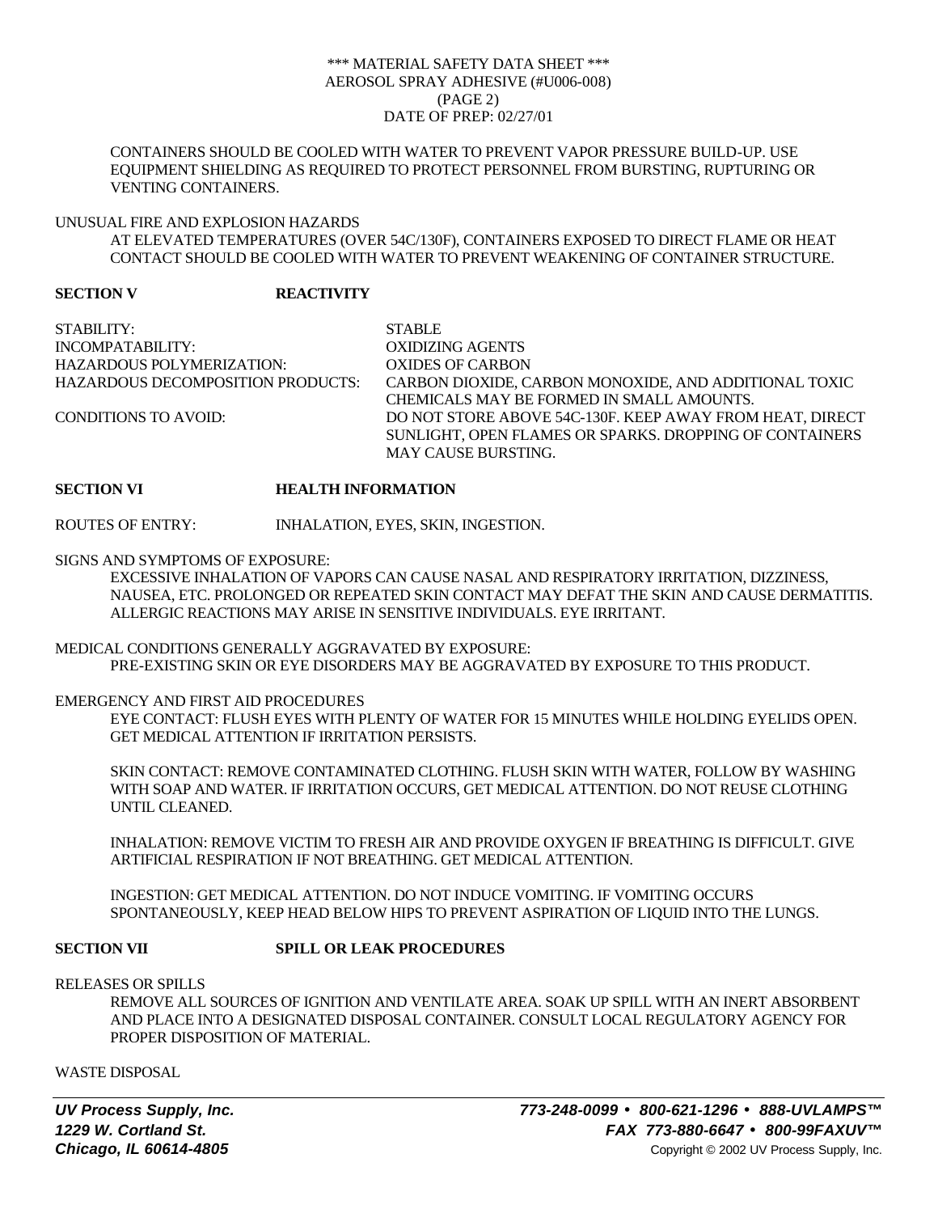## \*\*\* MATERIAL SAFETY DATA SHEET \*\*\* AEROSOL SPRAY ADHESIVE (#U006-008) (PAGE 2) DATE OF PREP: 02/27/01

CONTAINERS SHOULD BE COOLED WITH WATER TO PREVENT VAPOR PRESSURE BUILD-UP. USE EQUIPMENT SHIELDING AS REQUIRED TO PROTECT PERSONNEL FROM BURSTING, RUPTURING OR VENTING CONTAINERS.

# UNUSUAL FIRE AND EXPLOSION HAZARDS

AT ELEVATED TEMPERATURES (OVER 54C/130F), CONTAINERS EXPOSED TO DIRECT FLAME OR HEAT CONTACT SHOULD BE COOLED WITH WATER TO PREVENT WEAKENING OF CONTAINER STRUCTURE.

# **SECTION V REACTIVITY**

STABILITY: STABLE INCOMPATABILITY: OXIDIZING AGENTS HAZARDOUS POLYMERIZATION: OXIDES OF CARBON HAZARDOUS DECOMPOSITION PRODUCTS: CARBON DIOXIDE, CARBON MONOXIDE, AND ADDITIONAL TOXIC CHEMICALS MAY BE FORMED IN SMALL AMOUNTS. CONDITIONS TO AVOID: DO NOT STORE ABOVE 54C-130F. KEEP AWAY FROM HEAT, DIRECT SUNLIGHT, OPEN FLAMES OR SPARKS. DROPPING OF CONTAINERS MAY CAUSE BURSTING.

# **SECTION VI HEALTH INFORMATION**

ROUTES OF ENTRY: INHALATION, EYES, SKIN, INGESTION.

#### SIGNS AND SYMPTOMS OF EXPOSURE:

EXCESSIVE INHALATION OF VAPORS CAN CAUSE NASAL AND RESPIRATORY IRRITATION, DIZZINESS, NAUSEA, ETC. PROLONGED OR REPEATED SKIN CONTACT MAY DEFAT THE SKIN AND CAUSE DERMATITIS. ALLERGIC REACTIONS MAY ARISE IN SENSITIVE INDIVIDUALS. EYE IRRITANT.

# MEDICAL CONDITIONS GENERALLY AGGRAVATED BY EXPOSURE: PRE-EXISTING SKIN OR EYE DISORDERS MAY BE AGGRAVATED BY EXPOSURE TO THIS PRODUCT.

### EMERGENCY AND FIRST AID PROCEDURES

EYE CONTACT: FLUSH EYES WITH PLENTY OF WATER FOR 15 MINUTES WHILE HOLDING EYELIDS OPEN. GET MEDICAL ATTENTION IF IRRITATION PERSISTS.

SKIN CONTACT: REMOVE CONTAMINATED CLOTHING. FLUSH SKIN WITH WATER, FOLLOW BY WASHING WITH SOAP AND WATER. IF IRRITATION OCCURS, GET MEDICAL ATTENTION. DO NOT REUSE CLOTHING UNTIL CLEANED.

INHALATION: REMOVE VICTIM TO FRESH AIR AND PROVIDE OXYGEN IF BREATHING IS DIFFICULT. GIVE ARTIFICIAL RESPIRATION IF NOT BREATHING. GET MEDICAL ATTENTION.

INGESTION: GET MEDICAL ATTENTION. DO NOT INDUCE VOMITING. IF VOMITING OCCURS SPONTANEOUSLY, KEEP HEAD BELOW HIPS TO PREVENT ASPIRATION OF LIQUID INTO THE LUNGS.

### **SECTION VII SPILL OR LEAK PROCEDURES**

RELEASES OR SPILLS

REMOVE ALL SOURCES OF IGNITION AND VENTILATE AREA. SOAK UP SPILL WITH AN INERT ABSORBENT AND PLACE INTO A DESIGNATED DISPOSAL CONTAINER. CONSULT LOCAL REGULATORY AGENCY FOR PROPER DISPOSITION OF MATERIAL.

WASTE DISPOSAL